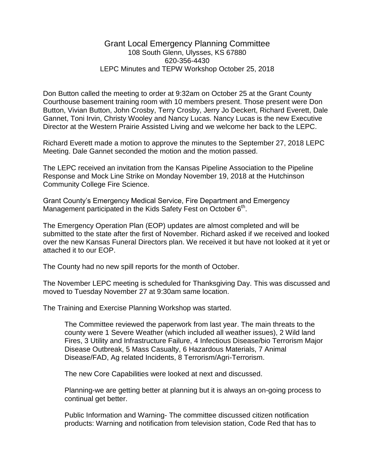## Grant Local Emergency Planning Committee 108 South Glenn, Ulysses, KS 67880 620-356-4430 LEPC Minutes and TEPW Workshop October 25, 2018

Don Button called the meeting to order at 9:32am on October 25 at the Grant County Courthouse basement training room with 10 members present. Those present were Don Button, Vivian Button, John Crosby, Terry Crosby, Jerry Jo Deckert, Richard Everett, Dale Gannet, Toni Irvin, Christy Wooley and Nancy Lucas. Nancy Lucas is the new Executive Director at the Western Prairie Assisted Living and we welcome her back to the LEPC.

Richard Everett made a motion to approve the minutes to the September 27, 2018 LEPC Meeting. Dale Gannet seconded the motion and the motion passed.

The LEPC received an invitation from the Kansas Pipeline Association to the Pipeline Response and Mock Line Strike on Monday November 19, 2018 at the Hutchinson Community College Fire Science.

Grant County's Emergency Medical Service, Fire Department and Emergency Management participated in the Kids Safety Fest on October 6<sup>th</sup>.

The Emergency Operation Plan (EOP) updates are almost completed and will be submitted to the state after the first of November. Richard asked if we received and looked over the new Kansas Funeral Directors plan. We received it but have not looked at it yet or attached it to our EOP.

The County had no new spill reports for the month of October.

The November LEPC meeting is scheduled for Thanksgiving Day. This was discussed and moved to Tuesday November 27 at 9:30am same location.

The Training and Exercise Planning Workshop was started.

The Committee reviewed the paperwork from last year. The main threats to the county were 1 Severe Weather (which included all weather issues), 2 Wild land Fires, 3 Utility and Infrastructure Failure, 4 Infectious Disease/bio Terrorism Major Disease Outbreak, 5 Mass Casualty, 6 Hazardous Materials, 7 Animal Disease/FAD, Ag related Incidents, 8 Terrorism/Agri-Terrorism.

The new Core Capabilities were looked at next and discussed.

Planning-we are getting better at planning but it is always an on-going process to continual get better.

Public Information and Warning- The committee discussed citizen notification products: Warning and notification from television station, Code Red that has to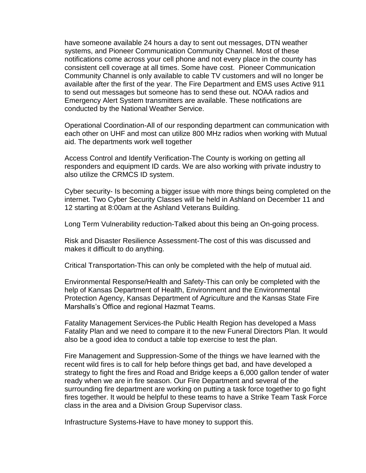have someone available 24 hours a day to sent out messages, DTN weather systems, and Pioneer Communication Community Channel. Most of these notifications come across your cell phone and not every place in the county has consistent cell coverage at all times. Some have cost. Pioneer Communication Community Channel is only available to cable TV customers and will no longer be available after the first of the year. The Fire Department and EMS uses Active 911 to send out messages but someone has to send these out. NOAA radios and Emergency Alert System transmitters are available. These notifications are conducted by the National Weather Service.

Operational Coordination-All of our responding department can communication with each other on UHF and most can utilize 800 MHz radios when working with Mutual aid. The departments work well together

Access Control and Identify Verification-The County is working on getting all responders and equipment ID cards. We are also working with private industry to also utilize the CRMCS ID system.

Cyber security- Is becoming a bigger issue with more things being completed on the internet. Two Cyber Security Classes will be held in Ashland on December 11 and 12 starting at 8:00am at the Ashland Veterans Building.

Long Term Vulnerability reduction-Talked about this being an On-going process.

Risk and Disaster Resilience Assessment-The cost of this was discussed and makes it difficult to do anything.

Critical Transportation-This can only be completed with the help of mutual aid.

Environmental Response/Health and Safety-This can only be completed with the help of Kansas Department of Health, Environment and the Environmental Protection Agency, Kansas Department of Agriculture and the Kansas State Fire Marshalls's Office and regional Hazmat Teams.

Fatality Management Services-the Public Health Region has developed a Mass Fatality Plan and we need to compare it to the new Funeral Directors Plan. It would also be a good idea to conduct a table top exercise to test the plan.

Fire Management and Suppression-Some of the things we have learned with the recent wild fires is to call for help before things get bad, and have developed a strategy to fight the fires and Road and Bridge keeps a 6,000 gallon tender of water ready when we are in fire season. Our Fire Department and several of the surrounding fire department are working on putting a task force together to go fight fires together. It would be helpful to these teams to have a Strike Team Task Force class in the area and a Division Group Supervisor class.

Infrastructure Systems-Have to have money to support this.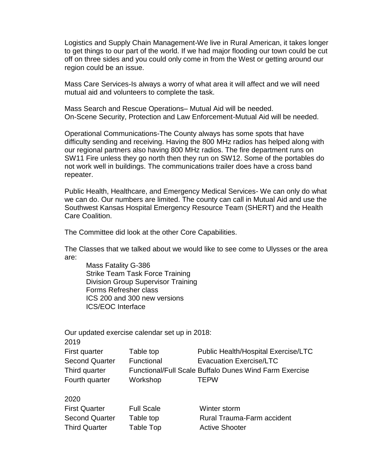Logistics and Supply Chain Management-We live in Rural American, it takes longer to get things to our part of the world. If we had major flooding our town could be cut off on three sides and you could only come in from the West or getting around our region could be an issue.

Mass Care Services-Is always a worry of what area it will affect and we will need mutual aid and volunteers to complete the task.

Mass Search and Rescue Operations– Mutual Aid will be needed. On-Scene Security, Protection and Law Enforcement-Mutual Aid will be needed.

Operational Communications-The County always has some spots that have difficulty sending and receiving. Having the 800 MHz radios has helped along with our regional partners also having 800 MHz radios. The fire department runs on SW11 Fire unless they go north then they run on SW12. Some of the portables do not work well in buildings. The communications trailer does have a cross band repeater.

Public Health, Healthcare, and Emergency Medical Services- We can only do what we can do. Our numbers are limited. The county can call in Mutual Aid and use the Southwest Kansas Hospital Emergency Resource Team (SHERT) and the Health Care Coalition.

The Committee did look at the other Core Capabilities.

The Classes that we talked about we would like to see come to Ulysses or the area are:

Mass Fatality G-386 Strike Team Task Force Training Division Group Supervisor Training Forms Refresher class ICS 200 and 300 new versions ICS/EOC Interface

Our updated exercise calendar set up in 2018:

2019

| Table top  | <b>Public Health/Hospital Exercise/LTC</b>             |
|------------|--------------------------------------------------------|
| Functional | <b>Evacuation Exercise/LTC</b>                         |
|            | Functional/Full Scale Buffalo Dunes Wind Farm Exercise |
| Workshop   | <b>TFPW</b>                                            |
|            |                                                        |

2020

First Quarter Full Scale Winter storm

Second Quarter Table top **Rural Trauma-Farm accident** Third Quarter Table Top **Third Contract Active Shooter**